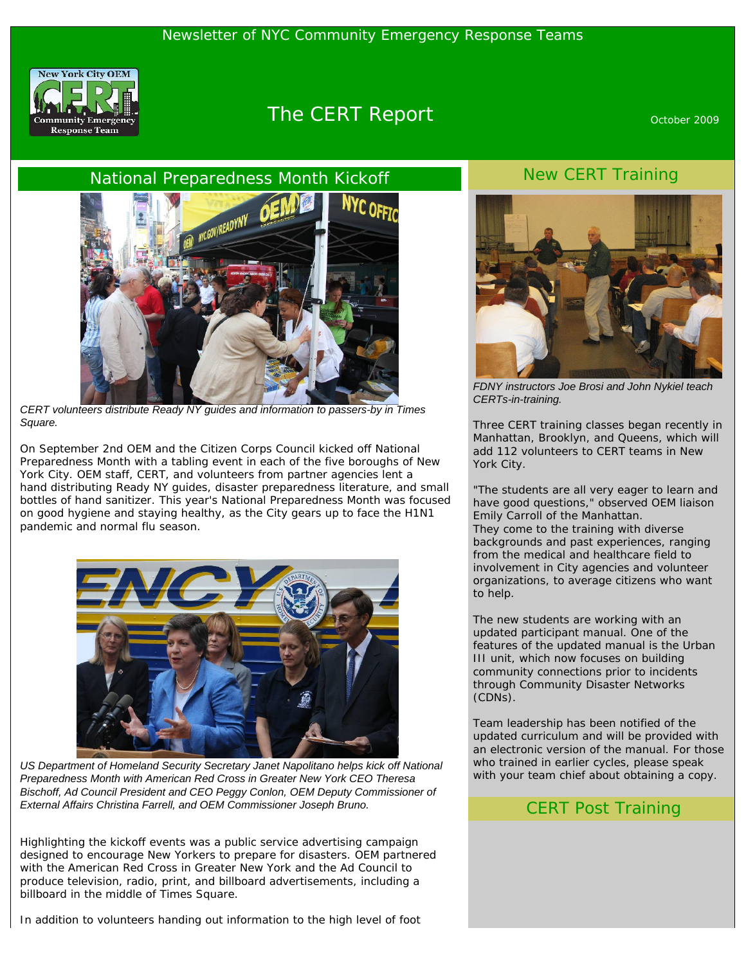

# The CERT Report **CERT** Application of the CERT Report

#### National Preparedness Month Kickoff



*CERT volunteers distribute Ready NY guides and information to passers-by in Times Square.*

On September 2nd OEM and the Citizen Corps Council kicked off National Preparedness Month with a tabling event in each of the five boroughs of New York City. OEM staff, CERT, and volunteers from partner agencies lent a hand distributing Ready NY guides, disaster preparedness literature, and small bottles of hand sanitizer. This year's National Preparedness Month was focused on good hygiene and staying healthy, as the City gears up to face the H1N1 pandemic and normal flu season.



US Department of Homeland Security Secretary Janet Napolitano helps kick off National *Preparedness Month with American Red Cross in Greater New York CEO Theresa Bischoff, Ad Council President and CEO Peggy Conlon, OEM Deputy Commissioner of External Affairs Christina Farrell, and OEM Commissioner Joseph Bruno.*

Highlighting the kickoff events was a public service advertising campaign designed to encourage New Yorkers to prepare for disasters. OEM partnered with the American Red Cross in Greater New York and the Ad Council to produce television, radio, print, and billboard advertisements, including a billboard in the middle of Times Square.

In addition to volunteers handing out information to the high level of foot

### New CERT Training



*FDNY instructors Joe Brosi and John Nykiel teach CERTs-in-training.*

Three CERT training classes began recently in Manhattan, Brooklyn, and Queens, which will add 112 volunteers to CERT teams in New York City.

"The students are all very eager to learn and have good questions," observed OEM liaison Emily Carroll of the Manhattan. They come to the training with diverse backgrounds and past experiences, ranging from the medical and healthcare field to involvement in City agencies and volunteer organizations, to average citizens who want to help.

The new students are working with an updated participant manual. One of the features of the updated manual is the Urban III unit, which now focuses on building community connections prior to incidents through Community Disaster Networks (CDNs).

Team leadership has been notified of the updated curriculum and will be provided with an electronic version of the manual. For those who trained in earlier cycles, please speak with your team chief about obtaining a copy.

#### CERT Post Training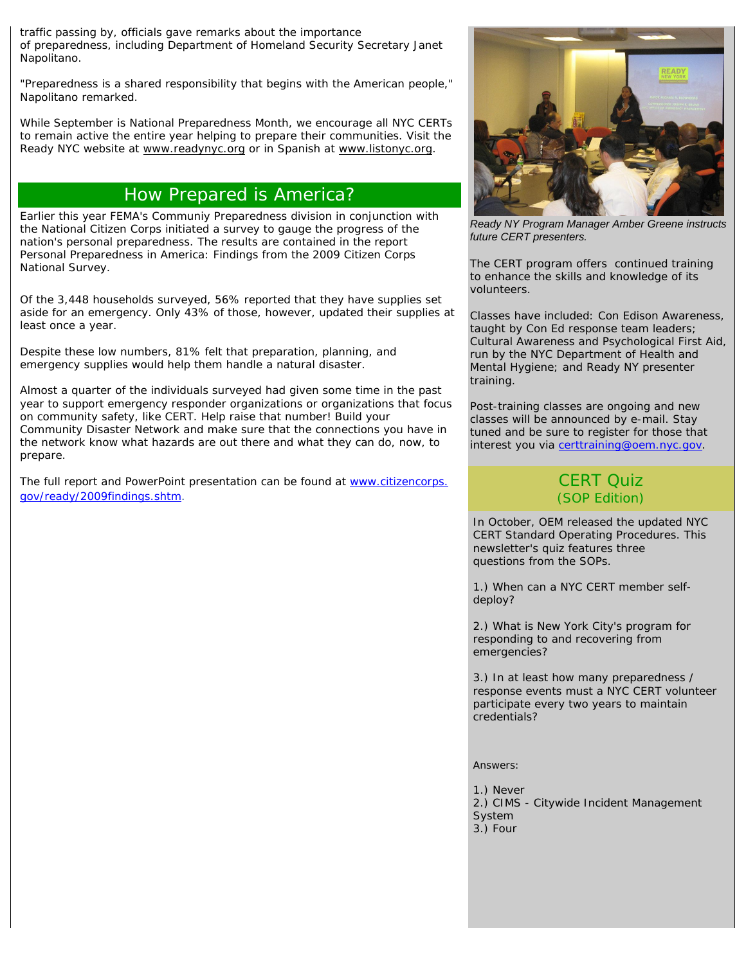traffic passing by, officials gave remarks about the importance of preparedness, including Department of Homeland Security Secretary Janet Napolitano.

"Preparedness is a shared responsibility that begins with the American people," Napolitano remarked.

While September is National Preparedness Month, we encourage all NYC CERTs to remain active the entire year helping to prepare their communities. Visit the Ready NYC website at [www.readynyc.org](http://www.readynyc.org/) or in Spanish at [www.listonyc.org.](http://www.listonyc.org/)

## How Prepared is America?

Earlier this year FEMA's Communiy Preparedness division in conjunction with the National Citizen Corps initiated a survey to gauge the progress of the nation's personal preparedness. The results are contained in the report *Personal Preparedness in America: Findings from the 2009 Citizen Corps National Survey*.

Of the 3,448 households surveyed, 56% reported that they have supplies set aside for an emergency. Only 43% of those, however, updated their supplies at least once a year.

Despite these low numbers, 81% felt that preparation, planning, and emergency supplies would help them handle a natural disaster.

Almost a quarter of the individuals surveyed had given some time in the past year to support emergency responder organizations or organizations that focus on community safety, like CERT. Help raise that number! Build your Community Disaster Network and make sure that the connections you have in the network know what hazards are out there and what they can do, now, to prepare.

The full report and PowerPoint presentation can be found at [www.citizencorps.](http://www.citizencorps.gov/ready/2009findings.shtm) [gov/ready/2009findings.shtm](http://www.citizencorps.gov/ready/2009findings.shtm).



*Ready NY Program Manager Amber Greene instructs future CERT presenters.*

The CERT program offers continued training to enhance the skills and knowledge of its volunteers.

Classes have included: Con Edison Awareness, taught by Con Ed response team leaders; Cultural Awareness and Psychological First Aid, run by the NYC Department of Health and Mental Hygiene; and Ready NY presenter training.

Post-training classes are ongoing and new classes will be announced by e-mail. Stay tuned and be sure to register for those that interest you via [certtraining@oem.nyc.gov](mailto:certtraining@oem.nyc.gov).

#### CERT Quiz (SOP Edition)

In October, OEM released the updated NYC CERT Standard Operating Procedures. This newsletter's quiz features three questions from the SOPs.

1.) When can a NYC CERT member selfdeploy?

2.) What is New York City's program for responding to and recovering from emergencies?

3.) In at least how many preparedness / response events must a NYC CERT volunteer participate every two years to maintain credentials?

Answers:

- *1.) Never*
- 2.) *CIMS Citywide Incident Management System* 3.) *Four*